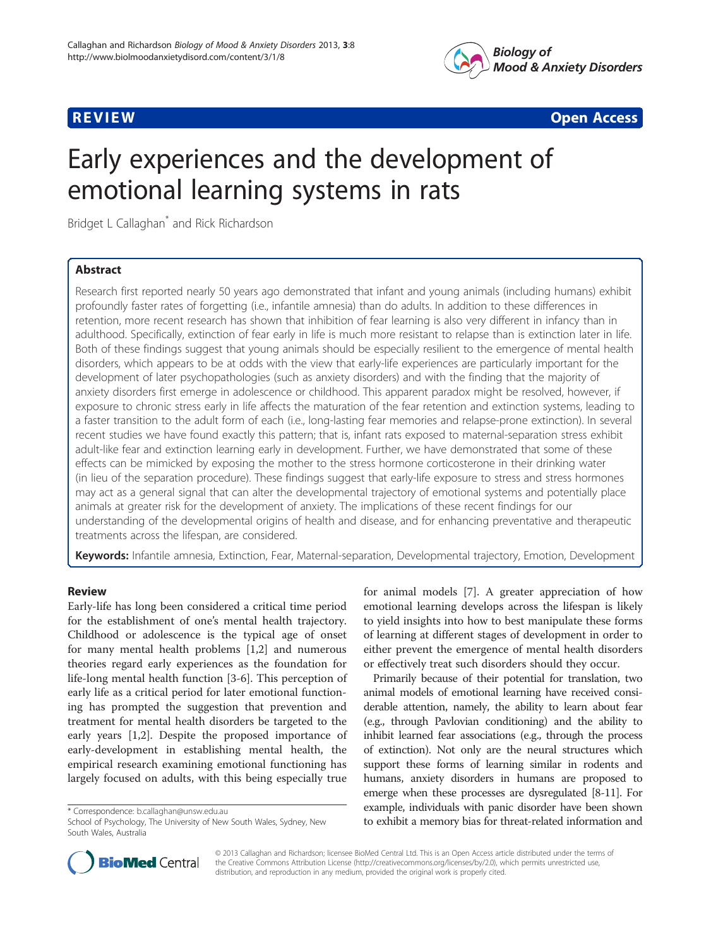

**REVIEW CONSTRUCTION CONSTRUCTION CONSTRUCTION CONSTRUCTION CONSTRUCTION CONSTRUCTION CONSTRUCTION CONSTRUCTION** 

# Early experiences and the development of emotional learning systems in rats

Bridget L Callaghan\* and Rick Richardson

# Abstract

Research first reported nearly 50 years ago demonstrated that infant and young animals (including humans) exhibit profoundly faster rates of forgetting (i.e., infantile amnesia) than do adults. In addition to these differences in retention, more recent research has shown that inhibition of fear learning is also very different in infancy than in adulthood. Specifically, extinction of fear early in life is much more resistant to relapse than is extinction later in life. Both of these findings suggest that young animals should be especially resilient to the emergence of mental health disorders, which appears to be at odds with the view that early-life experiences are particularly important for the development of later psychopathologies (such as anxiety disorders) and with the finding that the majority of anxiety disorders first emerge in adolescence or childhood. This apparent paradox might be resolved, however, if exposure to chronic stress early in life affects the maturation of the fear retention and extinction systems, leading to a faster transition to the adult form of each (i.e., long-lasting fear memories and relapse-prone extinction). In several recent studies we have found exactly this pattern; that is, infant rats exposed to maternal-separation stress exhibit adult-like fear and extinction learning early in development. Further, we have demonstrated that some of these effects can be mimicked by exposing the mother to the stress hormone corticosterone in their drinking water (in lieu of the separation procedure). These findings suggest that early-life exposure to stress and stress hormones may act as a general signal that can alter the developmental trajectory of emotional systems and potentially place animals at greater risk for the development of anxiety. The implications of these recent findings for our understanding of the developmental origins of health and disease, and for enhancing preventative and therapeutic treatments across the lifespan, are considered.

Keywords: Infantile amnesia, Extinction, Fear, Maternal-separation, Developmental trajectory, Emotion, Development

# Review

Early-life has long been considered a critical time period for the establishment of one's mental health trajectory. Childhood or adolescence is the typical age of onset for many mental health problems [\[1](#page-5-0),[2](#page-5-0)] and numerous theories regard early experiences as the foundation for life-long mental health function [\[3](#page-5-0)-[6\]](#page-5-0). This perception of early life as a critical period for later emotional functioning has prompted the suggestion that prevention and treatment for mental health disorders be targeted to the early years [[1,2\]](#page-5-0). Despite the proposed importance of early-development in establishing mental health, the empirical research examining emotional functioning has largely focused on adults, with this being especially true

for animal models [[7](#page-5-0)]. A greater appreciation of how emotional learning develops across the lifespan is likely to yield insights into how to best manipulate these forms of learning at different stages of development in order to either prevent the emergence of mental health disorders or effectively treat such disorders should they occur.

Primarily because of their potential for translation, two animal models of emotional learning have received considerable attention, namely, the ability to learn about fear (e.g., through Pavlovian conditioning) and the ability to inhibit learned fear associations (e.g., through the process of extinction). Not only are the neural structures which support these forms of learning similar in rodents and humans, anxiety disorders in humans are proposed to emerge when these processes are dysregulated [[8](#page-5-0)-[11](#page-5-0)]. For example, individuals with panic disorder have been shown to exhibit a memory bias for threat-related information and



© 2013 Callaghan and Richardson; licensee BioMed Central Ltd. This is an Open Access article distributed under the terms of the Creative Commons Attribution License [\(http://creativecommons.org/licenses/by/2.0\)](http://creativecommons.org/licenses/by/2.0), which permits unrestricted use, distribution, and reproduction in any medium, provided the original work is properly cited.

<sup>\*</sup> Correspondence: [b.callaghan@unsw.edu.au](mailto:b.callaghan@unsw.edu.au)

School of Psychology, The University of New South Wales, Sydney, New South Wales, Australia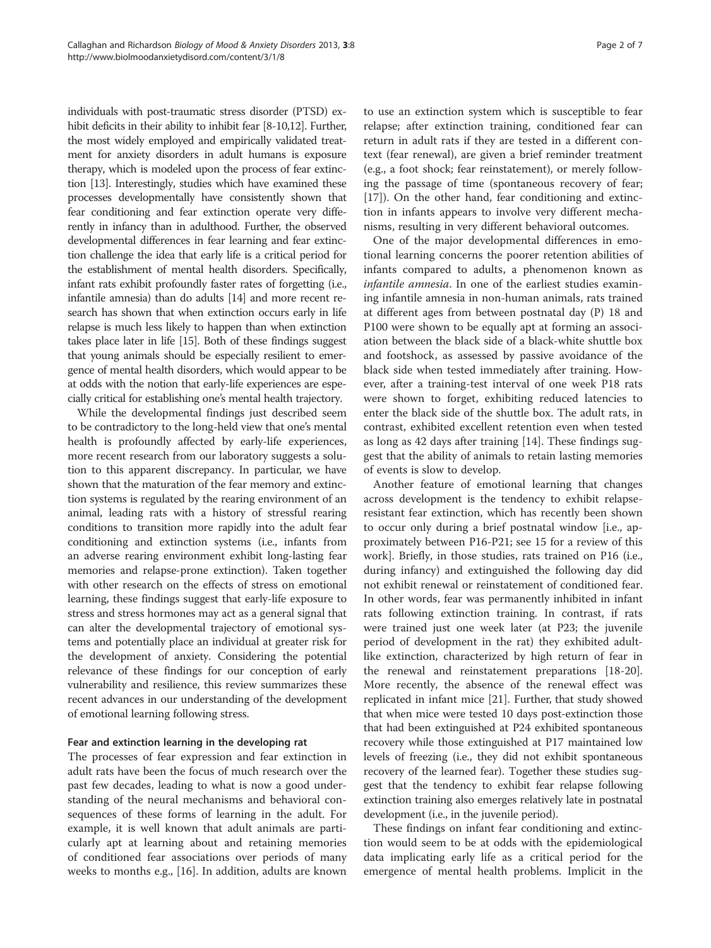individuals with post-traumatic stress disorder (PTSD) exhibit deficits in their ability to inhibit fear [\[8-10,12](#page-5-0)]. Further, the most widely employed and empirically validated treatment for anxiety disorders in adult humans is exposure therapy, which is modeled upon the process of fear extinction [[13](#page-5-0)]. Interestingly, studies which have examined these processes developmentally have consistently shown that fear conditioning and fear extinction operate very differently in infancy than in adulthood. Further, the observed developmental differences in fear learning and fear extinction challenge the idea that early life is a critical period for the establishment of mental health disorders. Specifically, infant rats exhibit profoundly faster rates of forgetting (i.e., infantile amnesia) than do adults [\[14](#page-5-0)] and more recent research has shown that when extinction occurs early in life relapse is much less likely to happen than when extinction takes place later in life [\[15](#page-5-0)]. Both of these findings suggest that young animals should be especially resilient to emergence of mental health disorders, which would appear to be at odds with the notion that early-life experiences are especially critical for establishing one's mental health trajectory.

While the developmental findings just described seem to be contradictory to the long-held view that one's mental health is profoundly affected by early-life experiences, more recent research from our laboratory suggests a solution to this apparent discrepancy. In particular, we have shown that the maturation of the fear memory and extinction systems is regulated by the rearing environment of an animal, leading rats with a history of stressful rearing conditions to transition more rapidly into the adult fear conditioning and extinction systems (i.e., infants from an adverse rearing environment exhibit long-lasting fear memories and relapse-prone extinction). Taken together with other research on the effects of stress on emotional learning, these findings suggest that early-life exposure to stress and stress hormones may act as a general signal that can alter the developmental trajectory of emotional systems and potentially place an individual at greater risk for the development of anxiety. Considering the potential relevance of these findings for our conception of early vulnerability and resilience, this review summarizes these recent advances in our understanding of the development of emotional learning following stress.

# Fear and extinction learning in the developing rat

The processes of fear expression and fear extinction in adult rats have been the focus of much research over the past few decades, leading to what is now a good understanding of the neural mechanisms and behavioral consequences of these forms of learning in the adult. For example, it is well known that adult animals are particularly apt at learning about and retaining memories of conditioned fear associations over periods of many weeks to months e.g., [\[16\]](#page-5-0). In addition, adults are known

to use an extinction system which is susceptible to fear relapse; after extinction training, conditioned fear can return in adult rats if they are tested in a different context (fear renewal), are given a brief reminder treatment (e.g., a foot shock; fear reinstatement), or merely following the passage of time (spontaneous recovery of fear; [[17\]](#page-5-0)). On the other hand, fear conditioning and extinction in infants appears to involve very different mechanisms, resulting in very different behavioral outcomes.

One of the major developmental differences in emotional learning concerns the poorer retention abilities of infants compared to adults, a phenomenon known as infantile amnesia. In one of the earliest studies examining infantile amnesia in non-human animals, rats trained at different ages from between postnatal day (P) 18 and P100 were shown to be equally apt at forming an association between the black side of a black-white shuttle box and footshock, as assessed by passive avoidance of the black side when tested immediately after training. However, after a training-test interval of one week P18 rats were shown to forget, exhibiting reduced latencies to enter the black side of the shuttle box. The adult rats, in contrast, exhibited excellent retention even when tested as long as 42 days after training [[14](#page-5-0)]. These findings suggest that the ability of animals to retain lasting memories of events is slow to develop.

Another feature of emotional learning that changes across development is the tendency to exhibit relapseresistant fear extinction, which has recently been shown to occur only during a brief postnatal window [i.e., approximately between P16-P21; see 15 for a review of this work]. Briefly, in those studies, rats trained on P16 (i.e., during infancy) and extinguished the following day did not exhibit renewal or reinstatement of conditioned fear. In other words, fear was permanently inhibited in infant rats following extinction training. In contrast, if rats were trained just one week later (at P23; the juvenile period of development in the rat) they exhibited adultlike extinction, characterized by high return of fear in the renewal and reinstatement preparations [\[18-20](#page-5-0)]. More recently, the absence of the renewal effect was replicated in infant mice [\[21](#page-5-0)]. Further, that study showed that when mice were tested 10 days post-extinction those that had been extinguished at P24 exhibited spontaneous recovery while those extinguished at P17 maintained low levels of freezing (i.e., they did not exhibit spontaneous recovery of the learned fear). Together these studies suggest that the tendency to exhibit fear relapse following extinction training also emerges relatively late in postnatal development (i.e., in the juvenile period).

These findings on infant fear conditioning and extinction would seem to be at odds with the epidemiological data implicating early life as a critical period for the emergence of mental health problems. Implicit in the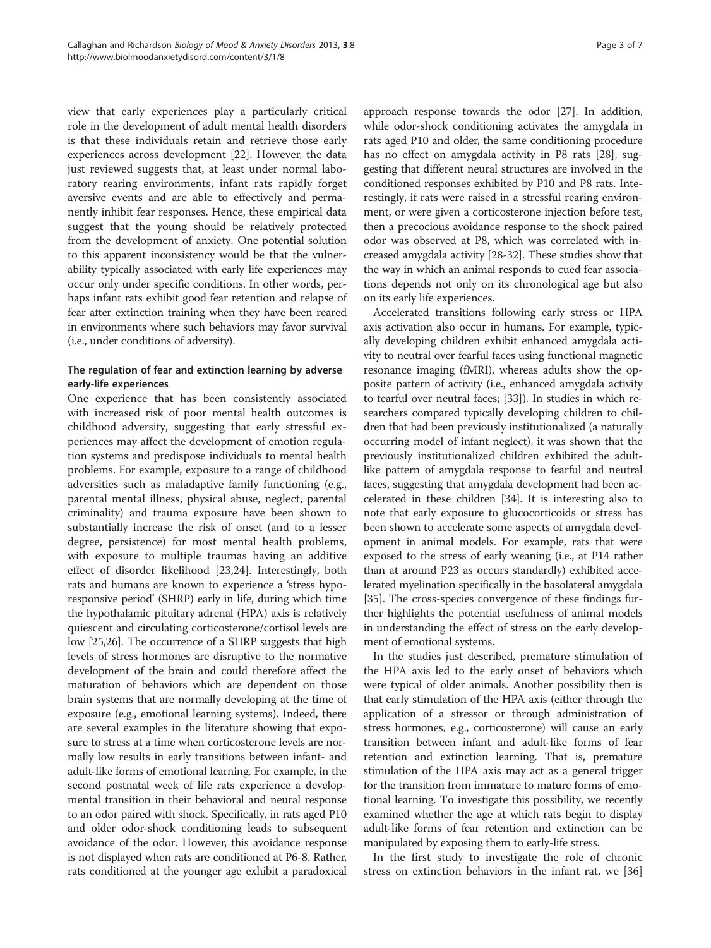view that early experiences play a particularly critical role in the development of adult mental health disorders is that these individuals retain and retrieve those early experiences across development [\[22\]](#page-5-0). However, the data just reviewed suggests that, at least under normal laboratory rearing environments, infant rats rapidly forget aversive events and are able to effectively and permanently inhibit fear responses. Hence, these empirical data suggest that the young should be relatively protected from the development of anxiety. One potential solution to this apparent inconsistency would be that the vulnerability typically associated with early life experiences may occur only under specific conditions. In other words, perhaps infant rats exhibit good fear retention and relapse of fear after extinction training when they have been reared in environments where such behaviors may favor survival (i.e., under conditions of adversity).

# The regulation of fear and extinction learning by adverse early-life experiences

One experience that has been consistently associated with increased risk of poor mental health outcomes is childhood adversity, suggesting that early stressful experiences may affect the development of emotion regulation systems and predispose individuals to mental health problems. For example, exposure to a range of childhood adversities such as maladaptive family functioning (e.g., parental mental illness, physical abuse, neglect, parental criminality) and trauma exposure have been shown to substantially increase the risk of onset (and to a lesser degree, persistence) for most mental health problems, with exposure to multiple traumas having an additive effect of disorder likelihood [[23](#page-5-0),[24](#page-5-0)]. Interestingly, both rats and humans are known to experience a 'stress hyporesponsive period' (SHRP) early in life, during which time the hypothalamic pituitary adrenal (HPA) axis is relatively quiescent and circulating corticosterone/cortisol levels are low [\[25,26](#page-5-0)]. The occurrence of a SHRP suggests that high levels of stress hormones are disruptive to the normative development of the brain and could therefore affect the maturation of behaviors which are dependent on those brain systems that are normally developing at the time of exposure (e.g., emotional learning systems). Indeed, there are several examples in the literature showing that exposure to stress at a time when corticosterone levels are normally low results in early transitions between infant- and adult-like forms of emotional learning. For example, in the second postnatal week of life rats experience a developmental transition in their behavioral and neural response to an odor paired with shock. Specifically, in rats aged P10 and older odor-shock conditioning leads to subsequent avoidance of the odor. However, this avoidance response is not displayed when rats are conditioned at P6-8. Rather, rats conditioned at the younger age exhibit a paradoxical

approach response towards the odor [[27](#page-5-0)]. In addition, while odor-shock conditioning activates the amygdala in rats aged P10 and older, the same conditioning procedure has no effect on amygdala activity in P8 rats [\[28\]](#page-5-0), suggesting that different neural structures are involved in the conditioned responses exhibited by P10 and P8 rats. Interestingly, if rats were raised in a stressful rearing environment, or were given a corticosterone injection before test, then a precocious avoidance response to the shock paired odor was observed at P8, which was correlated with increased amygdala activity [[28](#page-5-0)-[32](#page-5-0)]. These studies show that the way in which an animal responds to cued fear associations depends not only on its chronological age but also on its early life experiences.

Accelerated transitions following early stress or HPA axis activation also occur in humans. For example, typically developing children exhibit enhanced amygdala activity to neutral over fearful faces using functional magnetic resonance imaging (fMRI), whereas adults show the opposite pattern of activity (i.e., enhanced amygdala activity to fearful over neutral faces; [[33\]](#page-5-0)). In studies in which researchers compared typically developing children to children that had been previously institutionalized (a naturally occurring model of infant neglect), it was shown that the previously institutionalized children exhibited the adultlike pattern of amygdala response to fearful and neutral faces, suggesting that amygdala development had been accelerated in these children [\[34\]](#page-5-0). It is interesting also to note that early exposure to glucocorticoids or stress has been shown to accelerate some aspects of amygdala development in animal models. For example, rats that were exposed to the stress of early weaning (i.e., at P14 rather than at around P23 as occurs standardly) exhibited accelerated myelination specifically in the basolateral amygdala [[35](#page-5-0)]. The cross-species convergence of these findings further highlights the potential usefulness of animal models in understanding the effect of stress on the early development of emotional systems.

In the studies just described, premature stimulation of the HPA axis led to the early onset of behaviors which were typical of older animals. Another possibility then is that early stimulation of the HPA axis (either through the application of a stressor or through administration of stress hormones, e.g., corticosterone) will cause an early transition between infant and adult-like forms of fear retention and extinction learning. That is, premature stimulation of the HPA axis may act as a general trigger for the transition from immature to mature forms of emotional learning. To investigate this possibility, we recently examined whether the age at which rats begin to display adult-like forms of fear retention and extinction can be manipulated by exposing them to early-life stress.

In the first study to investigate the role of chronic stress on extinction behaviors in the infant rat, we [[36](#page-5-0)]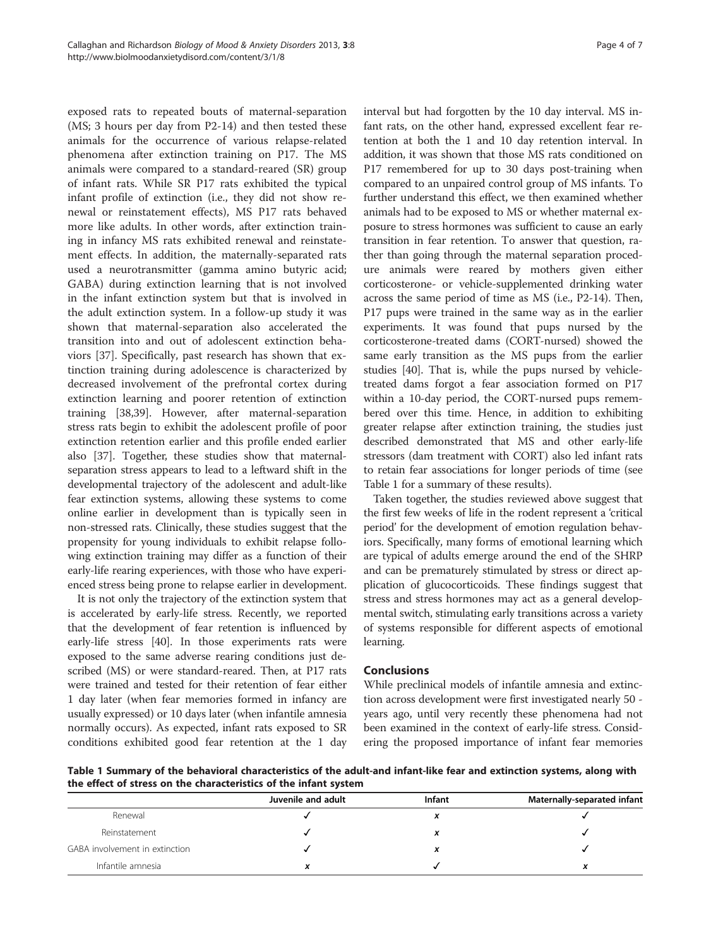exposed rats to repeated bouts of maternal-separation (MS; 3 hours per day from P2-14) and then tested these animals for the occurrence of various relapse-related phenomena after extinction training on P17. The MS animals were compared to a standard-reared (SR) group of infant rats. While SR P17 rats exhibited the typical infant profile of extinction (i.e., they did not show renewal or reinstatement effects), MS P17 rats behaved more like adults. In other words, after extinction training in infancy MS rats exhibited renewal and reinstatement effects. In addition, the maternally-separated rats used a neurotransmitter (gamma amino butyric acid; GABA) during extinction learning that is not involved in the infant extinction system but that is involved in the adult extinction system. In a follow-up study it was shown that maternal-separation also accelerated the transition into and out of adolescent extinction behaviors [\[37\]](#page-5-0). Specifically, past research has shown that extinction training during adolescence is characterized by decreased involvement of the prefrontal cortex during extinction learning and poorer retention of extinction training [\[38,39\]](#page-5-0). However, after maternal-separation stress rats begin to exhibit the adolescent profile of poor extinction retention earlier and this profile ended earlier also [\[37](#page-5-0)]. Together, these studies show that maternalseparation stress appears to lead to a leftward shift in the developmental trajectory of the adolescent and adult-like fear extinction systems, allowing these systems to come online earlier in development than is typically seen in non-stressed rats. Clinically, these studies suggest that the propensity for young individuals to exhibit relapse following extinction training may differ as a function of their early-life rearing experiences, with those who have experienced stress being prone to relapse earlier in development.

It is not only the trajectory of the extinction system that is accelerated by early-life stress. Recently, we reported that the development of fear retention is influenced by early-life stress [[40](#page-5-0)]. In those experiments rats were exposed to the same adverse rearing conditions just described (MS) or were standard-reared. Then, at P17 rats were trained and tested for their retention of fear either 1 day later (when fear memories formed in infancy are usually expressed) or 10 days later (when infantile amnesia normally occurs). As expected, infant rats exposed to SR conditions exhibited good fear retention at the 1 day interval but had forgotten by the 10 day interval. MS infant rats, on the other hand, expressed excellent fear retention at both the 1 and 10 day retention interval. In addition, it was shown that those MS rats conditioned on P17 remembered for up to 30 days post-training when compared to an unpaired control group of MS infants. To further understand this effect, we then examined whether animals had to be exposed to MS or whether maternal exposure to stress hormones was sufficient to cause an early transition in fear retention. To answer that question, rather than going through the maternal separation procedure animals were reared by mothers given either corticosterone- or vehicle-supplemented drinking water across the same period of time as MS (i.e., P2-14). Then, P17 pups were trained in the same way as in the earlier experiments. It was found that pups nursed by the corticosterone-treated dams (CORT-nursed) showed the same early transition as the MS pups from the earlier studies [[40\]](#page-5-0). That is, while the pups nursed by vehicletreated dams forgot a fear association formed on P17 within a 10-day period, the CORT-nursed pups remembered over this time. Hence, in addition to exhibiting greater relapse after extinction training, the studies just described demonstrated that MS and other early-life stressors (dam treatment with CORT) also led infant rats to retain fear associations for longer periods of time (see Table 1 for a summary of these results).

Taken together, the studies reviewed above suggest that the first few weeks of life in the rodent represent a 'critical period' for the development of emotion regulation behaviors. Specifically, many forms of emotional learning which are typical of adults emerge around the end of the SHRP and can be prematurely stimulated by stress or direct application of glucocorticoids. These findings suggest that stress and stress hormones may act as a general developmental switch, stimulating early transitions across a variety of systems responsible for different aspects of emotional learning.

# Conclusions

While preclinical models of infantile amnesia and extinction across development were first investigated nearly 50 years ago, until very recently these phenomena had not been examined in the context of early-life stress. Considering the proposed importance of infant fear memories

Table 1 Summary of the behavioral characteristics of the adult-and infant-like fear and extinction systems, along with the effect of stress on the characteristics of the infant system

|                                | Juvenile and adult | <b>Infant</b> | Maternally-separated infant |
|--------------------------------|--------------------|---------------|-----------------------------|
| Renewal                        |                    | x             |                             |
| Reinstatement                  |                    | v             |                             |
| GABA involvement in extinction |                    | v             |                             |
| Infantile amnesia              |                    |               |                             |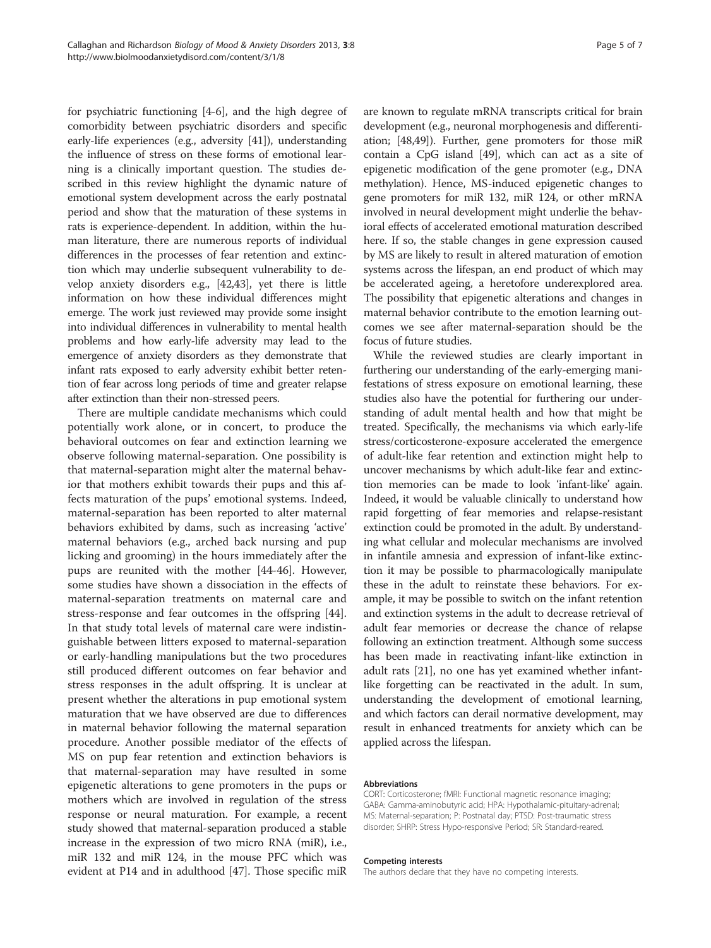for psychiatric functioning [\[4](#page-5-0)-[6\]](#page-5-0), and the high degree of comorbidity between psychiatric disorders and specific early-life experiences (e.g., adversity [[41\]](#page-5-0)), understanding the influence of stress on these forms of emotional learning is a clinically important question. The studies described in this review highlight the dynamic nature of emotional system development across the early postnatal period and show that the maturation of these systems in rats is experience-dependent. In addition, within the human literature, there are numerous reports of individual differences in the processes of fear retention and extinction which may underlie subsequent vulnerability to develop anxiety disorders e.g., [[42,43\]](#page-5-0), yet there is little information on how these individual differences might emerge. The work just reviewed may provide some insight into individual differences in vulnerability to mental health problems and how early-life adversity may lead to the emergence of anxiety disorders as they demonstrate that infant rats exposed to early adversity exhibit better retention of fear across long periods of time and greater relapse after extinction than their non-stressed peers.

There are multiple candidate mechanisms which could potentially work alone, or in concert, to produce the behavioral outcomes on fear and extinction learning we observe following maternal-separation. One possibility is that maternal-separation might alter the maternal behavior that mothers exhibit towards their pups and this affects maturation of the pups' emotional systems. Indeed, maternal-separation has been reported to alter maternal behaviors exhibited by dams, such as increasing 'active' maternal behaviors (e.g., arched back nursing and pup licking and grooming) in the hours immediately after the pups are reunited with the mother [[44-46\]](#page-6-0). However, some studies have shown a dissociation in the effects of maternal-separation treatments on maternal care and stress-response and fear outcomes in the offspring [\[44](#page-6-0)]. In that study total levels of maternal care were indistinguishable between litters exposed to maternal-separation or early-handling manipulations but the two procedures still produced different outcomes on fear behavior and stress responses in the adult offspring. It is unclear at present whether the alterations in pup emotional system maturation that we have observed are due to differences in maternal behavior following the maternal separation procedure. Another possible mediator of the effects of MS on pup fear retention and extinction behaviors is that maternal-separation may have resulted in some epigenetic alterations to gene promoters in the pups or mothers which are involved in regulation of the stress response or neural maturation. For example, a recent study showed that maternal-separation produced a stable increase in the expression of two micro RNA (miR), i.e., miR 132 and miR 124, in the mouse PFC which was evident at P14 and in adulthood [[47](#page-6-0)]. Those specific miR are known to regulate mRNA transcripts critical for brain development (e.g., neuronal morphogenesis and differentiation; [[48,49\]](#page-6-0)). Further, gene promoters for those miR contain a CpG island [[49](#page-6-0)], which can act as a site of epigenetic modification of the gene promoter (e.g., DNA methylation). Hence, MS-induced epigenetic changes to gene promoters for miR 132, miR 124, or other mRNA involved in neural development might underlie the behavioral effects of accelerated emotional maturation described here. If so, the stable changes in gene expression caused by MS are likely to result in altered maturation of emotion systems across the lifespan, an end product of which may be accelerated ageing, a heretofore underexplored area. The possibility that epigenetic alterations and changes in maternal behavior contribute to the emotion learning outcomes we see after maternal-separation should be the focus of future studies.

While the reviewed studies are clearly important in furthering our understanding of the early-emerging manifestations of stress exposure on emotional learning, these studies also have the potential for furthering our understanding of adult mental health and how that might be treated. Specifically, the mechanisms via which early-life stress/corticosterone-exposure accelerated the emergence of adult-like fear retention and extinction might help to uncover mechanisms by which adult-like fear and extinction memories can be made to look 'infant-like' again. Indeed, it would be valuable clinically to understand how rapid forgetting of fear memories and relapse-resistant extinction could be promoted in the adult. By understanding what cellular and molecular mechanisms are involved in infantile amnesia and expression of infant-like extinction it may be possible to pharmacologically manipulate these in the adult to reinstate these behaviors. For example, it may be possible to switch on the infant retention and extinction systems in the adult to decrease retrieval of adult fear memories or decrease the chance of relapse following an extinction treatment. Although some success has been made in reactivating infant-like extinction in adult rats [\[21\]](#page-5-0), no one has yet examined whether infantlike forgetting can be reactivated in the adult. In sum, understanding the development of emotional learning, and which factors can derail normative development, may result in enhanced treatments for anxiety which can be applied across the lifespan.

#### Abbreviations

CORT: Corticosterone; fMRI: Functional magnetic resonance imaging; GABA: Gamma-aminobutyric acid; HPA: Hypothalamic-pituitary-adrenal; MS: Maternal-separation; P: Postnatal day; PTSD: Post-traumatic stress disorder; SHRP: Stress Hypo-responsive Period; SR: Standard-reared.

#### Competing interests

The authors declare that they have no competing interests.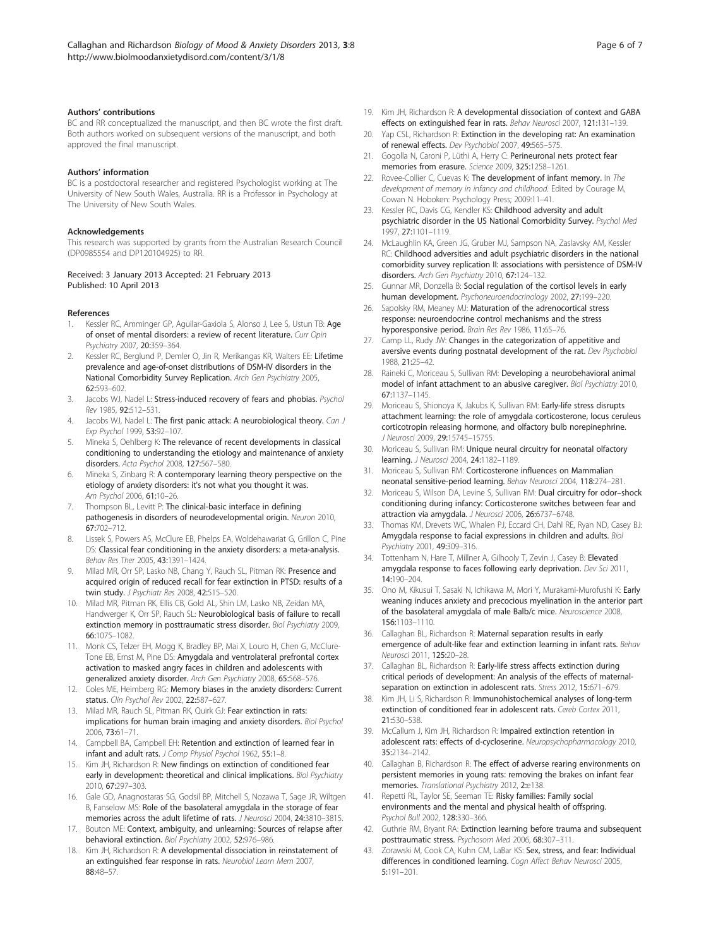#### <span id="page-5-0"></span>Authors' contributions

BC and RR conceptualized the manuscript, and then BC wrote the first draft. Both authors worked on subsequent versions of the manuscript, and both approved the final manuscript.

Authors' information

BC is a postdoctoral researcher and registered Psychologist working at The University of New South Wales, Australia. RR is a Professor in Psychology at The University of New South Wales.

#### Acknowledgements

This research was supported by grants from the Australian Research Council (DP0985554 and DP120104925) to RR.

#### Received: 3 January 2013 Accepted: 21 February 2013 Published: 10 April 2013

#### References

- 1. Kessler RC, Amminger GP, Aguilar-Gaxiola S, Alonso J, Lee S, Ustun TB: Age of onset of mental disorders: a review of recent literature. Curr Opin Psychiatry 2007, 20:359–364.
- 2. Kessler RC, Berglund P, Demler O, Jin R, Merikangas KR, Walters EE: Lifetime prevalence and age-of-onset distributions of DSM-IV disorders in the National Comorbidity Survey Replication. Arch Gen Psychiatry 2005, 62:593–602.
- 3. Jacobs WJ, Nadel L: Stress-induced recovery of fears and phobias. Psychol Rev 1985, 92:512–531.
- 4. Jacobs WJ, Nadel L: The first panic attack: A neurobiological theory. Can J Exp Psychol 1999, 53:92–107.
- Mineka S, Oehlberg K: The relevance of recent developments in classical conditioning to understanding the etiology and maintenance of anxiety disorders. Acta Psychol 2008, 127:567-580.
- Mineka S, Zinbarg R: A contemporary learning theory perspective on the etiology of anxiety disorders: it's not what you thought it was. Am Psychol 2006, 61:10–26.
- 7. Thompson BL, Levitt P: The clinical-basic interface in defining pathogenesis in disorders of neurodevelopmental origin. Neuron 2010, 67:702–712.
- 8. Lissek S, Powers AS, McClure EB, Phelps EA, Woldehawariat G, Grillon C, Pine DS: Classical fear conditioning in the anxiety disorders: a meta-analysis. Behav Res Ther 2005, 43:1391–1424.
- 9. Milad MR, Orr SP, Lasko NB, Chang Y, Rauch SL, Pitman RK: Presence and acquired origin of reduced recall for fear extinction in PTSD: results of a twin study. J Psychiatr Res 2008, 42:515–520.
- 10. Milad MR, Pitman RK, Ellis CB, Gold AL, Shin LM, Lasko NB, Zeidan MA, Handwerger K, Orr SP, Rauch SL: Neurobiological basis of failure to recall extinction memory in posttraumatic stress disorder. Biol Psychiatry 2009, 66:1075–1082.
- 11. Monk CS, Telzer EH, Mogg K, Bradley BP, Mai X, Louro H, Chen G, McClure-Tone EB, Ernst M, Pine DS: Amygdala and ventrolateral prefrontal cortex activation to masked angry faces in children and adolescents with generalized anxiety disorder. Arch Gen Psychiatry 2008, 65:568–576.
- 12. Coles ME, Heimberg RG: Memory biases in the anxiety disorders: Current status. Clin Psychol Rev 2002, 22:587–627.
- 13. Milad MR, Rauch SL, Pitman RK, Quirk GJ: Fear extinction in rats: implications for human brain imaging and anxiety disorders. Biol Psychol 2006, 73:61–71.
- 14. Campbell BA, Campbell EH: Retention and extinction of learned fear in infant and adult rats. J Comp Physiol Psychol 1962, 55:1–8.
- 15. Kim JH, Richardson R: New findings on extinction of conditioned fear early in development: theoretical and clinical implications. Biol Psychiatry 2010, 67:297–303.
- 16. Gale GD, Anagnostaras SG, Godsil BP, Mitchell S, Nozawa T, Sage JR, Wiltgen B, Fanselow MS: Role of the basolateral amygdala in the storage of fear memories across the adult lifetime of rats. J Neurosci 2004, 24:3810-3815.
- 17. Bouton ME: Context, ambiguity, and unlearning: Sources of relapse after behavioral extinction. Biol Psychiatry 2002, 52:976–986.
- 18. Kim JH, Richardson R: A developmental dissociation in reinstatement of an extinguished fear response in rats. Neurobiol Learn Mem 2007, 88:48–57.
- 19. Kim JH, Richardson R: A developmental dissociation of context and GABA effects on extinguished fear in rats. Behav Neurosci 2007, 121:131–139.
- 20. Yap CSL, Richardson R: Extinction in the developing rat: An examination of renewal effects. Dev Psychobiol 2007, 49:565–575.
- 21. Gogolla N, Caroni P, Lüthi A, Herry C: Perineuronal nets protect fear memories from erasure. Science 2009, 325:1258–1261.
- 22. Rovee-Collier C, Cuevas K: The development of infant memory. In The development of memory in infancy and childhood. Edited by Courage M, Cowan N. Hoboken: Psychology Press; 2009:11–41.
- 23. Kessler RC, Davis CG, Kendler KS: Childhood adversity and adult psychiatric disorder in the US National Comorbidity Survey. Psychol Med 1997, 27:1101–1119.
- 24. McLaughlin KA, Green JG, Gruber MJ, Sampson NA, Zaslavsky AM, Kessler RC: Childhood adversities and adult psychiatric disorders in the national comorbidity survey replication II: associations with persistence of DSM-IV disorders. Arch Gen Psychiatry 2010, 67:124-132.
- 25. Gunnar MR, Donzella B: Social regulation of the cortisol levels in early human development. Psychoneuroendocrinology 2002, 27:199–220.
- 26. Sapolsky RM, Meaney MJ: Maturation of the adrenocortical stress response: neuroendocrine control mechanisms and the stress hyporesponsive period. Brain Res Rev 1986, 11:65–76.
- 27. Camp LL, Rudy JW: Changes in the categorization of appetitive and aversive events during postnatal development of the rat. Dev Psychobiol 1988, 21:25–42.
- 28. Raineki C, Moriceau S, Sullivan RM: Developing a neurobehavioral animal model of infant attachment to an abusive caregiver. Biol Psychiatry 2010, 67:1137–1145.
- 29. Moriceau S, Shionoya K, Jakubs K, Sullivan RM: Early-life stress disrupts attachment learning: the role of amygdala corticosterone, locus ceruleus corticotropin releasing hormone, and olfactory bulb norepinephrine. J Neurosci 2009, 29:15745–15755.
- 30. Moriceau S, Sullivan RM: Unique neural circuitry for neonatal olfactory learning. J Neurosci 2004, 24:1182–1189.
- 31. Moriceau S, Sullivan RM: Corticosterone influences on Mammalian neonatal sensitive-period learning. Behav Neurosci 2004, 118:274–281.
- 32. Moriceau S, Wilson DA, Levine S, Sullivan RM: Dual circuitry for odor–shock conditioning during infancy: Corticosterone switches between fear and attraction via amygdala. J Neurosci 2006, 26:6737-6748.
- 33. Thomas KM, Drevets WC, Whalen PJ, Eccard CH, Dahl RE, Ryan ND, Casey BJ: Amygdala response to facial expressions in children and adults. Biol Psychiatry 2001, 49:309–316.
- 34. Tottenham N, Hare T, Millner A, Gilhooly T, Zevin J, Casey B: Elevated amygdala response to faces following early deprivation. Dev Sci 2011, 14:190–204.
- 35. Ono M, Kikusui T, Sasaki N, Ichikawa M, Mori Y, Murakami-Murofushi K: Early weaning induces anxiety and precocious myelination in the anterior part of the basolateral amygdala of male Balb/c mice. Neuroscience 2008, 156:1103–1110.
- 36. Callaghan BL, Richardson R: Maternal separation results in early emergence of adult-like fear and extinction learning in infant rats. Behav Neurosci 2011, 125:20–28.
- 37. Callaghan BL, Richardson R: Early-life stress affects extinction during critical periods of development: An analysis of the effects of maternalseparation on extinction in adolescent rats. Stress 2012, 15:671-679.
- 38. Kim JH, Li S, Richardson R: Immunohistochemical analyses of long-term extinction of conditioned fear in adolescent rats. Cereb Cortex 2011, 21:530–538.
- 39. McCallum J, Kim JH, Richardson R: Impaired extinction retention in adolescent rats: effects of d-cycloserine. Neuropsychopharmacology 2010, 35:2134–2142.
- 40. Callaghan B, Richardson R: The effect of adverse rearing environments on persistent memories in young rats: removing the brakes on infant fear memories. Translational Psychiatry 2012, 2:e138.
- 41. Repetti RL, Taylor SE, Seeman TE: Risky families: Family social environments and the mental and physical health of offspring. Psychol Bull 2002, 128:330–366.
- 42. Guthrie RM, Bryant RA: Extinction learning before trauma and subsequent posttraumatic stress. Psychosom Med 2006, 68:307–311.
- 43. Zorawski M, Cook CA, Kuhn CM, LaBar KS: Sex, stress, and fear: Individual differences in conditioned learning. Cogn Affect Behav Neurosci 2005, 5:191–201.